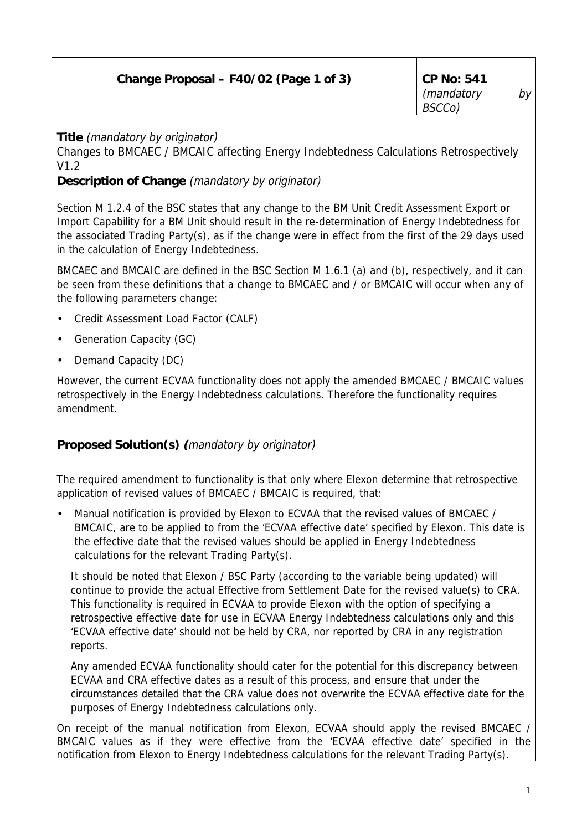| Change Proposal – F40/02 (Page 1 of 3) | $\vert$ CP No: 541 |     |
|----------------------------------------|--------------------|-----|
|                                        | $\mid$ (mandatory  | bv' |
|                                        | BSCCo)             |     |

**Title** (mandatory by originator)

Changes to BMCAEC / BMCAIC affecting Energy Indebtedness Calculations Retrospectively V1.2

## **Description of Change** (mandatory by originator)

Section M 1.2.4 of the BSC states that any change to the BM Unit Credit Assessment Export or Import Capability for a BM Unit should result in the re-determination of Energy Indebtedness for the associated Trading Party(s), as if the change were in effect from the first of the 29 days used in the calculation of Energy Indebtedness.

BMCAEC and BMCAIC are defined in the BSC Section M 1.6.1 (a) and (b), respectively, and it can be seen from these definitions that a change to BMCAEC and / or BMCAIC will occur when any of the following parameters change:

- Credit Assessment Load Factor (CALF)
- Generation Capacity (GC)
- Demand Capacity (DC)

However, the current ECVAA functionality does not apply the amended BMCAEC / BMCAIC values retrospectively in the Energy Indebtedness calculations. Therefore the functionality requires amendment.

## **Proposed Solution(s) (**mandatory by originator)

The required amendment to functionality is that only where Elexon determine that retrospective application of revised values of BMCAEC / BMCAIC is required, that:

• Manual notification is provided by Elexon to ECVAA that the revised values of BMCAEC / BMCAIC, are to be applied to from the 'ECVAA effective date' specified by Elexon. This date is the effective date that the revised values should be applied in Energy Indebtedness calculations for the relevant Trading Party(s).

It should be noted that Elexon / BSC Party (according to the variable being updated) will continue to provide the actual Effective from Settlement Date for the revised value(s) to CRA. This functionality is required in ECVAA to provide Elexon with the option of specifying a retrospective effective date for use in ECVAA Energy Indebtedness calculations only and this 'ECVAA effective date' should not be held by CRA, nor reported by CRA in any registration reports.

Any amended ECVAA functionality should cater for the potential for this discrepancy between ECVAA and CRA effective dates as a result of this process, and ensure that under the circumstances detailed that the CRA value does not overwrite the ECVAA effective date for the purposes of Energy Indebtedness calculations only.

On receipt of the manual notification from Elexon, ECVAA should apply the revised BMCAEC / BMCAIC values as if they were effective from the 'ECVAA effective date' specified in the notification from Elexon to Energy Indebtedness calculations for the relevant Trading Party(s).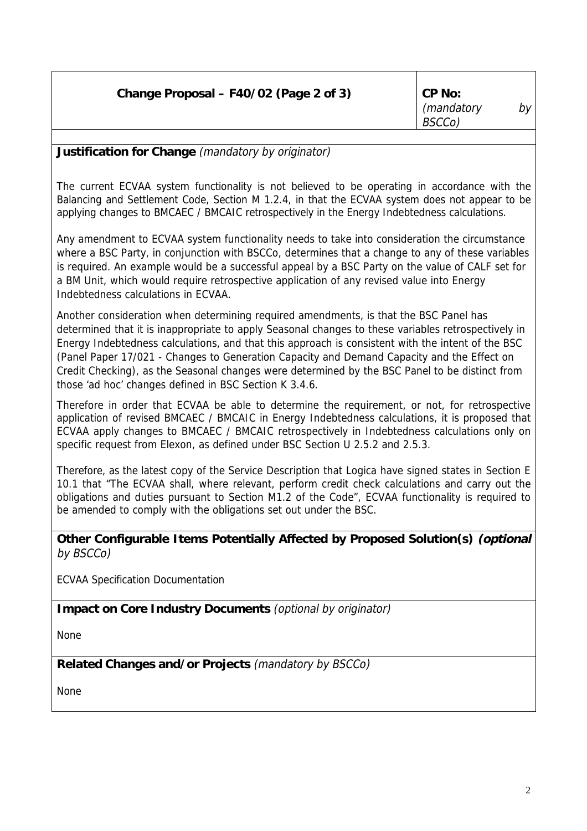|  | Change Proposal - F40/02 (Page 2 of 3) | $\mathsf{C}$ P No: |
|--|----------------------------------------|--------------------|
|--|----------------------------------------|--------------------|

## **Justification for Change** (mandatory by originator)

The current ECVAA system functionality is not believed to be operating in accordance with the Balancing and Settlement Code, Section M 1.2.4, in that the ECVAA system does not appear to be applying changes to BMCAEC / BMCAIC retrospectively in the Energy Indebtedness calculations.

Any amendment to ECVAA system functionality needs to take into consideration the circumstance where a BSC Party, in conjunction with BSCCo, determines that a change to any of these variables is required. An example would be a successful appeal by a BSC Party on the value of CALF set for a BM Unit, which would require retrospective application of any revised value into Energy Indebtedness calculations in ECVAA.

Another consideration when determining required amendments, is that the BSC Panel has determined that it is inappropriate to apply Seasonal changes to these variables retrospectively in Energy Indebtedness calculations, and that this approach is consistent with the intent of the BSC (Panel Paper 17/021 - Changes to Generation Capacity and Demand Capacity and the Effect on Credit Checking), as the Seasonal changes were determined by the BSC Panel to be distinct from those 'ad hoc' changes defined in BSC Section K 3.4.6.

Therefore in order that ECVAA be able to determine the requirement, or not, for retrospective application of revised BMCAEC / BMCAIC in Energy Indebtedness calculations, it is proposed that ECVAA apply changes to BMCAEC / BMCAIC retrospectively in Indebtedness calculations only on specific request from Elexon, as defined under BSC Section U 2.5.2 and 2.5.3.

Therefore, as the latest copy of the Service Description that Logica have signed states in Section E 10.1 that "The ECVAA shall, where relevant, perform credit check calculations and carry out the obligations and duties pursuant to Section M1.2 of the Code", ECVAA functionality is required to be amended to comply with the obligations set out under the BSC.

**Other Configurable Items Potentially Affected by Proposed Solution(s) (optional** by BSCCo)

ECVAA Specification Documentation

**Impact on Core Industry Documents** (optional by originator)

None

**Related Changes and/or Projects** (mandatory by BSCCo)

None